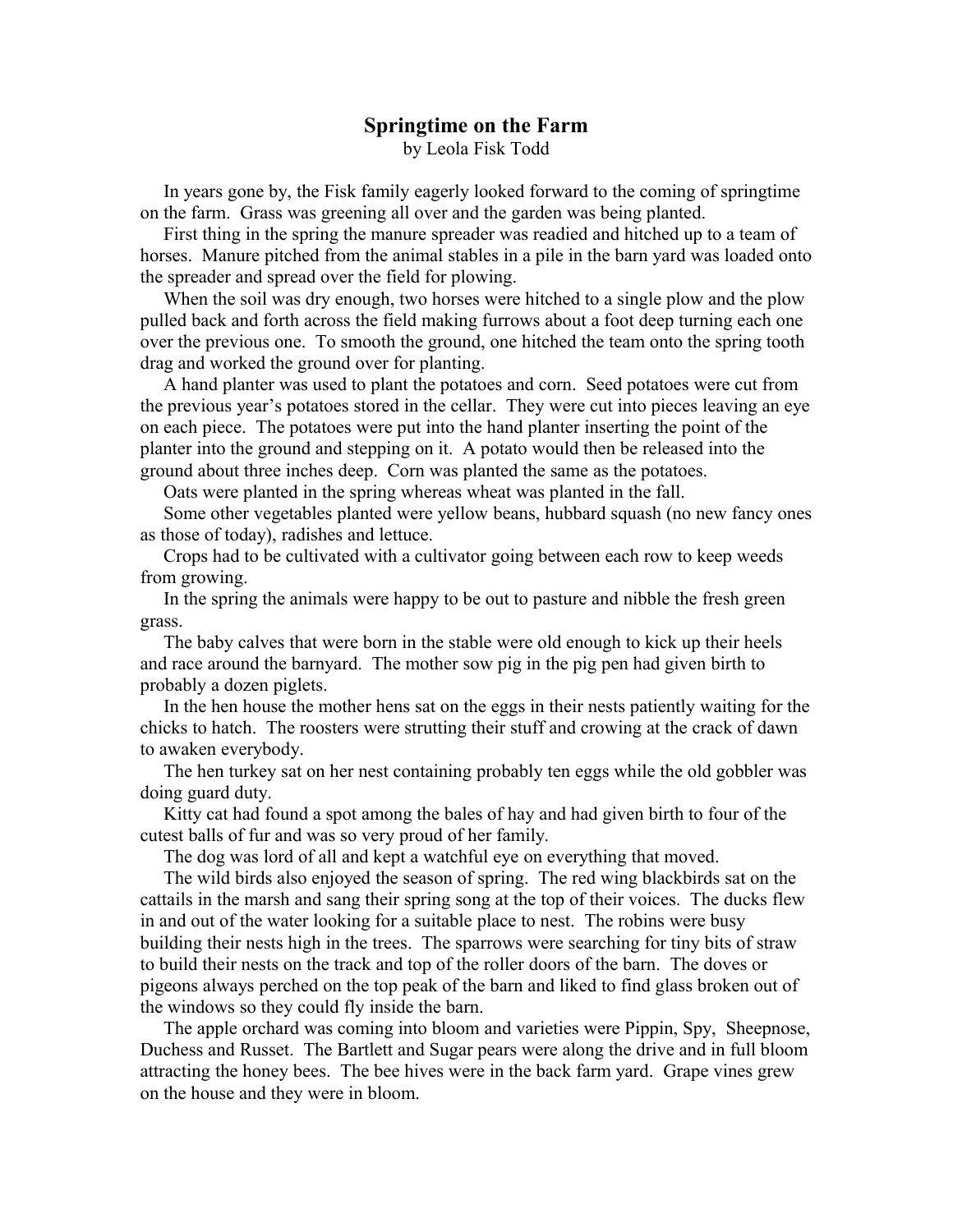## **Springtime on the Farm** by Leola Fisk Todd

 In years gone by, the Fisk family eagerly looked forward to the coming of springtime on the farm. Grass was greening all over and the garden was being planted.

 First thing in the spring the manure spreader was readied and hitched up to a team of horses. Manure pitched from the animal stables in a pile in the barn yard was loaded onto the spreader and spread over the field for plowing.

 When the soil was dry enough, two horses were hitched to a single plow and the plow pulled back and forth across the field making furrows about a foot deep turning each one over the previous one. To smooth the ground, one hitched the team onto the spring tooth drag and worked the ground over for planting.

 A hand planter was used to plant the potatoes and corn. Seed potatoes were cut from the previous year's potatoes stored in the cellar. They were cut into pieces leaving an eye on each piece. The potatoes were put into the hand planter inserting the point of the planter into the ground and stepping on it. A potato would then be released into the ground about three inches deep. Corn was planted the same as the potatoes.

Oats were planted in the spring whereas wheat was planted in the fall.

 Some other vegetables planted were yellow beans, hubbard squash (no new fancy ones as those of today), radishes and lettuce.

 Crops had to be cultivated with a cultivator going between each row to keep weeds from growing.

 In the spring the animals were happy to be out to pasture and nibble the fresh green grass.

 The baby calves that were born in the stable were old enough to kick up their heels and race around the barnyard. The mother sow pig in the pig pen had given birth to probably a dozen piglets.

 In the hen house the mother hens sat on the eggs in their nests patiently waiting for the chicks to hatch. The roosters were strutting their stuff and crowing at the crack of dawn to awaken everybody.

 The hen turkey sat on her nest containing probably ten eggs while the old gobbler was doing guard duty.

 Kitty cat had found a spot among the bales of hay and had given birth to four of the cutest balls of fur and was so very proud of her family.

The dog was lord of all and kept a watchful eye on everything that moved.

 The wild birds also enjoyed the season of spring. The red wing blackbirds sat on the cattails in the marsh and sang their spring song at the top of their voices. The ducks flew in and out of the water looking for a suitable place to nest. The robins were busy building their nests high in the trees. The sparrows were searching for tiny bits of straw to build their nests on the track and top of the roller doors of the barn. The doves or pigeons always perched on the top peak of the barn and liked to find glass broken out of the windows so they could fly inside the barn.

 The apple orchard was coming into bloom and varieties were Pippin, Spy, Sheepnose, Duchess and Russet. The Bartlett and Sugar pears were along the drive and in full bloom attracting the honey bees. The bee hives were in the back farm yard. Grape vines grew on the house and they were in bloom.